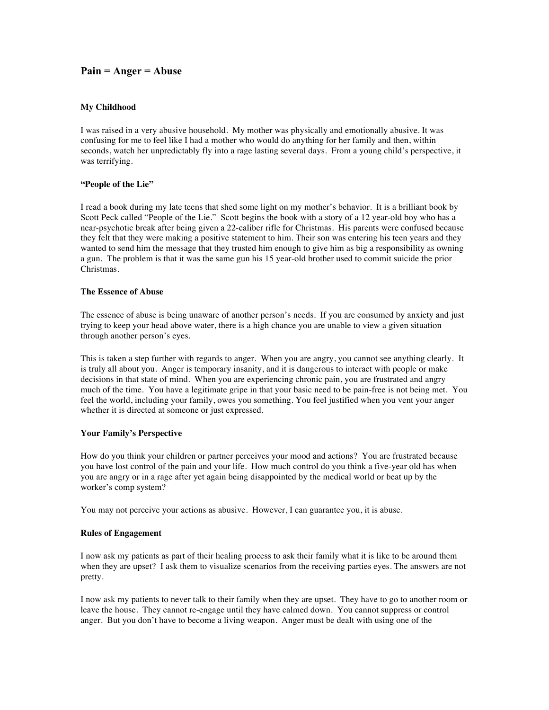# **Pain = Anger = Abuse**

### **My Childhood**

I was raised in a very abusive household. My mother was physically and emotionally abusive. It was confusing for me to feel like I had a mother who would do anything for her family and then, within seconds, watch her unpredictably fly into a rage lasting several days. From a young child's perspective, it was terrifying.

# **"People of the Lie"**

I read a book during my late teens that shed some light on my mother's behavior. It is a brilliant book by Scott Peck called "People of the Lie." Scott begins the book with a story of a 12 year-old boy who has a near-psychotic break after being given a 22-caliber rifle for Christmas. His parents were confused because they felt that they were making a positive statement to him. Their son was entering his teen years and they wanted to send him the message that they trusted him enough to give him as big a responsibility as owning a gun. The problem is that it was the same gun his 15 year-old brother used to commit suicide the prior Christmas.

# **The Essence of Abuse**

The essence of abuse is being unaware of another person's needs. If you are consumed by anxiety and just trying to keep your head above water, there is a high chance you are unable to view a given situation through another person's eyes.

This is taken a step further with regards to anger. When you are angry, you cannot see anything clearly. It is truly all about you. Anger is temporary insanity, and it is dangerous to interact with people or make decisions in that state of mind. When you are experiencing chronic pain, you are frustrated and angry much of the time. You have a legitimate gripe in that your basic need to be pain-free is not being met. You feel the world, including your family, owes you something. You feel justified when you vent your anger whether it is directed at someone or just expressed.

#### **Your Family's Perspective**

How do you think your children or partner perceives your mood and actions? You are frustrated because you have lost control of the pain and your life. How much control do you think a five-year old has when you are angry or in a rage after yet again being disappointed by the medical world or beat up by the worker's comp system?

You may not perceive your actions as abusive. However, I can guarantee you, it is abuse.

### **Rules of Engagement**

I now ask my patients as part of their healing process to ask their family what it is like to be around them when they are upset? I ask them to visualize scenarios from the receiving parties eyes. The answers are not pretty.

I now ask my patients to never talk to their family when they are upset. They have to go to another room or leave the house. They cannot re-engage until they have calmed down. You cannot suppress or control anger. But you don't have to become a living weapon. Anger must be dealt with using one of the